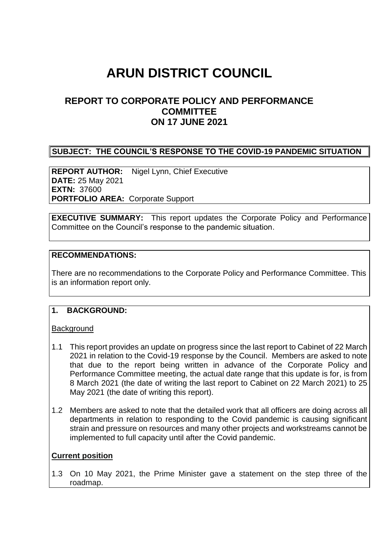# **ARUN DISTRICT COUNCIL**

# **REPORT TO CORPORATE POLICY AND PERFORMANCE COMMITTEE ON 17 JUNE 2021**

#### **SUBJECT: THE COUNCIL'S RESPONSE TO THE COVID-19 PANDEMIC SITUATION**

**REPORT AUTHOR:** Nigel Lynn, Chief Executive **DATE:** 25 May 2021 **EXTN:** 37600 **PORTFOLIO AREA:** Corporate Support

**EXECUTIVE SUMMARY:** This report updates the Corporate Policy and Performance Committee on the Council's response to the pandemic situation.

#### **RECOMMENDATIONS:**

There are no recommendations to the Corporate Policy and Performance Committee. This is an information report only.

#### **1. BACKGROUND:**

#### **Background**

- 1.1 This report provides an update on progress since the last report to Cabinet of 22 March 2021 in relation to the Covid-19 response by the Council. Members are asked to note that due to the report being written in advance of the Corporate Policy and Performance Committee meeting, the actual date range that this update is for, is from 8 March 2021 (the date of writing the last report to Cabinet on 22 March 2021) to 25 May 2021 (the date of writing this report).
- 1.2 Members are asked to note that the detailed work that all officers are doing across all departments in relation to responding to the Covid pandemic is causing significant strain and pressure on resources and many other projects and workstreams cannot be implemented to full capacity until after the Covid pandemic.

#### **Current position**

1.3 On 10 May 2021, the Prime Minister gave a statement on the step three of the roadmap.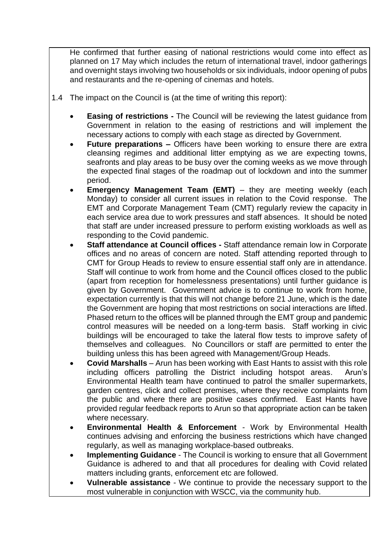He confirmed that further easing of national restrictions would come into effect as planned on 17 May which includes the return of international travel, indoor gatherings and overnight stays involving two households or six individuals, indoor opening of pubs and restaurants and the re-opening of cinemas and hotels.

- 1.4 The impact on the Council is (at the time of writing this report):
	- **Easing of restrictions -** The Council will be reviewing the latest guidance from Government in relation to the easing of restrictions and will implement the necessary actions to comply with each stage as directed by Government.
	- **Future preparations –** Officers have been working to ensure there are extra cleansing regimes and additional litter emptying as we are expecting towns, seafronts and play areas to be busy over the coming weeks as we move through the expected final stages of the roadmap out of lockdown and into the summer period.
	- **Emergency Management Team (EMT)** they are meeting weekly (each Monday) to consider all current issues in relation to the Covid response. The EMT and Corporate Management Team (CMT) regularly review the capacity in each service area due to work pressures and staff absences. It should be noted that staff are under increased pressure to perform existing workloads as well as responding to the Covid pandemic.
	- **Staff attendance at Council offices -** Staff attendance remain low in Corporate offices and no areas of concern are noted. Staff attending reported through to CMT for Group Heads to review to ensure essential staff only are in attendance. Staff will continue to work from home and the Council offices closed to the public (apart from reception for homelessness presentations) until further guidance is given by Government. Government advice is to continue to work from home, expectation currently is that this will not change before 21 June, which is the date the Government are hoping that most restrictions on social interactions are lifted. Phased return to the offices will be planned through the EMT group and pandemic control measures will be needed on a long-term basis. Staff working in civic buildings will be encouraged to take the lateral flow tests to improve safety of themselves and colleagues. No Councillors or staff are permitted to enter the building unless this has been agreed with Management/Group Heads.
	- **Covid Marshalls** Arun has been working with East Hants to assist with this role including officers patrolling the District including hotspot areas. Arun's Environmental Health team have continued to patrol the smaller supermarkets, garden centres, click and collect premises, where they receive complaints from the public and where there are positive cases confirmed. East Hants have provided regular feedback reports to Arun so that appropriate action can be taken where necessary.
	- **Environmental Health & Enforcement** Work by Environmental Health continues advising and enforcing the business restrictions which have changed regularly, as well as managing workplace-based outbreaks.
	- **Implementing Guidance** The Council is working to ensure that all Government Guidance is adhered to and that all procedures for dealing with Covid related matters including grants, enforcement etc are followed.
	- **Vulnerable assistance** We continue to provide the necessary support to the most vulnerable in conjunction with WSCC, via the community hub.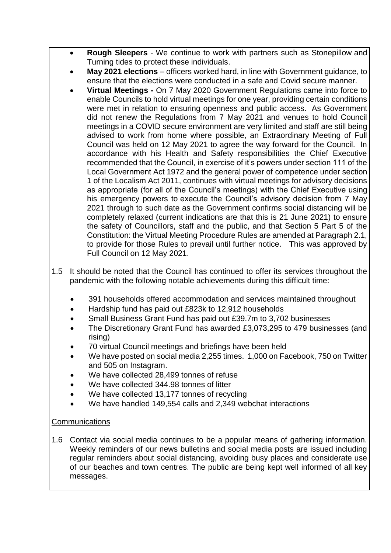- **Rough Sleepers** We continue to work with partners such as Stonepillow and Turning tides to protect these individuals.
- **May 2021 elections** officers worked hard, in line with Government guidance, to ensure that the elections were conducted in a safe and Covid secure manner.
- **Virtual Meetings -** On 7 May 2020 Government Regulations came into force to enable Councils to hold virtual meetings for one year, providing certain conditions were met in relation to ensuring openness and public access. As Government did not renew the Regulations from 7 May 2021 and venues to hold Council meetings in a COVID secure environment are very limited and staff are still being advised to work from home where possible, an Extraordinary Meeting of Full Council was held on 12 May 2021 to agree the way forward for the Council. In accordance with his Health and Safety responsibilities the Chief Executive recommended that the Council, in exercise of it's powers under section 111 of the Local Government Act 1972 and the general power of competence under section 1 of the Localism Act 2011, continues with virtual meetings for advisory decisions as appropriate (for all of the Council's meetings) with the Chief Executive using his emergency powers to execute the Council's advisory decision from 7 May 2021 through to such date as the Government confirms social distancing will be completely relaxed (current indications are that this is 21 June 2021) to ensure the safety of Councillors, staff and the public, and that Section 5 Part 5 of the Constitution: the Virtual Meeting Procedure Rules are amended at Paragraph 2.1, to provide for those Rules to prevail until further notice. This was approved by Full Council on 12 May 2021.
- 1.5 It should be noted that the Council has continued to offer its services throughout the pandemic with the following notable achievements during this difficult time:
	- 391 households offered accommodation and services maintained throughout
	- Hardship fund has paid out £823k to 12,912 households
	- Small Business Grant Fund has paid out £39.7m to 3,702 businesses
	- The Discretionary Grant Fund has awarded £3,073,295 to 479 businesses (and rising)
	- 70 virtual Council meetings and briefings have been held
	- We have posted on social media 2,255 times. 1,000 on Facebook, 750 on Twitter and 505 on Instagram.
	- We have collected 28,499 tonnes of refuse
	- We have collected 344.98 tonnes of litter
	- We have collected 13,177 tonnes of recycling
	- We have handled 149,554 calls and 2,349 webchat interactions

## **Communications**

1.6 Contact via social media continues to be a popular means of gathering information. Weekly reminders of our news bulletins and social media posts are issued including regular reminders about social distancing, avoiding busy places and considerate use of our beaches and town centres. The public are being kept well informed of all key messages.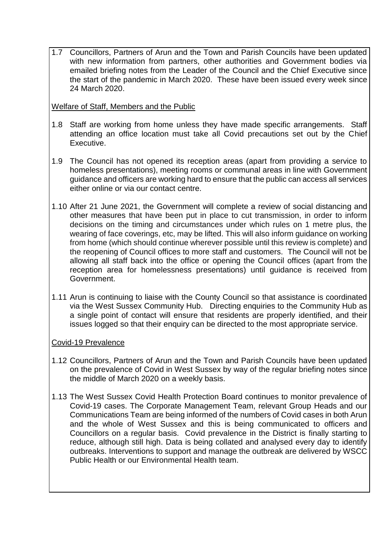1.7 Councillors, Partners of Arun and the Town and Parish Councils have been updated with new information from partners, other authorities and Government bodies via emailed briefing notes from the Leader of the Council and the Chief Executive since the start of the pandemic in March 2020. These have been issued every week since 24 March 2020.

Welfare of Staff, Members and the Public

- 1.8 Staff are working from home unless they have made specific arrangements. Staff attending an office location must take all Covid precautions set out by the Chief Executive.
- 1.9 The Council has not opened its reception areas (apart from providing a service to homeless presentations), meeting rooms or communal areas in line with Government guidance and officers are working hard to ensure that the public can access all services either online or via our contact centre.
- 1.10 After 21 June 2021, the Government will complete a review of social distancing and other measures that have been put in place to cut transmission, in order to inform decisions on the timing and circumstances under which rules on 1 metre plus, the wearing of face coverings, etc, may be lifted. This will also inform guidance on working from home (which should continue wherever possible until this review is complete) and the reopening of Council offices to more staff and customers. The Council will not be allowing all staff back into the office or opening the Council offices (apart from the reception area for homelessness presentations) until guidance is received from Government.
- 1.11 Arun is continuing to liaise with the County Council so that assistance is coordinated via the West Sussex Community Hub. Directing enquiries to the Community Hub as a single point of contact will ensure that residents are properly identified, and their issues logged so that their enquiry can be directed to the most appropriate service*.*

## Covid-19 Prevalence

- 1.12 Councillors, Partners of Arun and the Town and Parish Councils have been updated on the prevalence of Covid in West Sussex by way of the regular briefing notes since the middle of March 2020 on a weekly basis.
- 1.13 The West Sussex Covid Health Protection Board continues to monitor prevalence of Covid-19 cases. The Corporate Management Team, relevant Group Heads and our Communications Team are being informed of the numbers of Covid cases in both Arun and the whole of West Sussex and this is being communicated to officers and Councillors on a regular basis. Covid prevalence in the District is finally starting to reduce, although still high. Data is being collated and analysed every day to identify outbreaks. Interventions to support and manage the outbreak are delivered by WSCC Public Health or our Environmental Health team.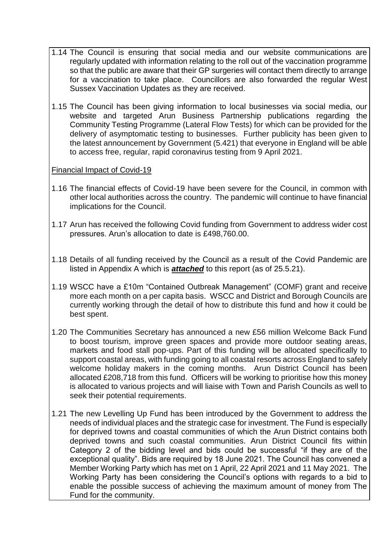- 1.14 The Council is ensuring that social media and our website communications are regularly updated with information relating to the roll out of the vaccination programme so that the public are aware that their GP surgeries will contact them directly to arrange for a vaccination to take place. Councillors are also forwarded the regular West Sussex Vaccination Updates as they are received.
- 1.15 The Council has been giving information to local businesses via social media, our website and targeted Arun Business Partnership publications regarding the Community Testing Programme (Lateral Flow Tests) for which can be provided for the delivery of asymptomatic testing to businesses. Further publicity has been given to the latest announcement by Government (5.421) that everyone in England will be able to access free, regular, rapid coronavirus testing from 9 April 2021.

#### Financial Impact of Covid-19

- 1.16 The financial effects of Covid-19 have been severe for the Council, in common with other local authorities across the country. The pandemic will continue to have financial implications for the Council.
- 1.17 Arun has received the following Covid funding from Government to address wider cost pressures. Arun's allocation to date is £498,760.00.
- 1.18 Details of all funding received by the Council as a result of the Covid Pandemic are listed in Appendix A which is *attached* to this report (as of 25.5.21).
- 1.19 WSCC have a £10m "Contained Outbreak Management" (COMF) grant and receive more each month on a per capita basis. WSCC and District and Borough Councils are currently working through the detail of how to distribute this fund and how it could be best spent.
- 1.20 The Communities Secretary has announced a new £56 million Welcome Back Fund to boost tourism, improve green spaces and provide more outdoor seating areas, markets and food stall pop-ups. Part of this funding will be allocated specifically to support coastal areas, with funding going to all coastal resorts across England to safely welcome holiday makers in the coming months. Arun District Council has been allocated £208,718 from this fund. Officers will be working to prioritise how this money is allocated to various projects and will liaise with Town and Parish Councils as well to seek their potential requirements.
- 1.21 The new Levelling Up Fund has been introduced by the Government to address the needs of individual places and the strategic case for investment. The Fund is especially for deprived towns and coastal communities of which the Arun District contains both deprived towns and such coastal communities. Arun District Council fits within Category 2 of the bidding level and bids could be successful "if they are of the exceptional quality". Bids are required by 18 June 2021. The Council has convened a Member Working Party which has met on 1 April, 22 April 2021 and 11 May 2021. The Working Party has been considering the Council's options with regards to a bid to enable the possible success of achieving the maximum amount of money from The Fund for the community.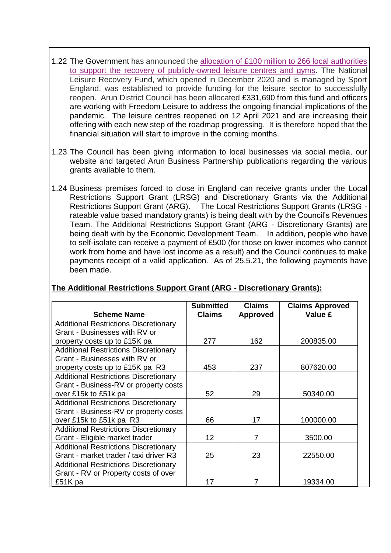- 1.22 The Government has announced the [allocation of £100 million to 266 local authorities](https://lnks.gd/l/eyJhbGciOiJIUzI1NiJ9.eyJidWxsZXRpbl9saW5rX2lkIjoxMTMsInVyaSI6ImJwMjpjbGljayIsImJ1bGxldGluX2lkIjoiMjAyMTAzMjMuMzc1NTk2NDEiLCJ1cmwiOiJodHRwczovL3d3dy5nb3YudWsvZ292ZXJubWVudC9uZXdzL2dvdmVybm1lbnQtYW5ub3VuY2VzLWFsbG9jYXRpb24tb2YtMTAwLW1pbGxpb24tdG8tc3VwcG9ydC1yZWNvdmVyeS1vZi1sZWlzdXJlLWNlbnRyZXMifQ.M8tLQbR2WKfAkCG3J17QvBWGGV_fPbYiwqBzHooAjNw/s/995942854/br/100516380578-l)  [to support the recovery of publicly-owned leisure centres and gyms.](https://lnks.gd/l/eyJhbGciOiJIUzI1NiJ9.eyJidWxsZXRpbl9saW5rX2lkIjoxMTMsInVyaSI6ImJwMjpjbGljayIsImJ1bGxldGluX2lkIjoiMjAyMTAzMjMuMzc1NTk2NDEiLCJ1cmwiOiJodHRwczovL3d3dy5nb3YudWsvZ292ZXJubWVudC9uZXdzL2dvdmVybm1lbnQtYW5ub3VuY2VzLWFsbG9jYXRpb24tb2YtMTAwLW1pbGxpb24tdG8tc3VwcG9ydC1yZWNvdmVyeS1vZi1sZWlzdXJlLWNlbnRyZXMifQ.M8tLQbR2WKfAkCG3J17QvBWGGV_fPbYiwqBzHooAjNw/s/995942854/br/100516380578-l) The National Leisure Recovery Fund, which opened in December 2020 and is managed by Sport England, was established to provide funding for the leisure sector to successfully reopen. Arun District Council has been allocated £331,690 from this fund and officers are working with Freedom Leisure to address the ongoing financial implications of the pandemic. The leisure centres reopened on 12 April 2021 and are increasing their offering with each new step of the roadmap progressing. It is therefore hoped that the financial situation will start to improve in the coming months.
- 1.23 The Council has been giving information to local businesses via social media, our website and targeted Arun Business Partnership publications regarding the various grants available to them.
- 1.24 Business premises forced to close in England can receive grants under the Local Restrictions Support Grant (LRSG) and Discretionary Grants via the Additional Restrictions Support Grant (ARG). The Local Restrictions Support Grants (LRSG rateable value based mandatory grants) is being dealt with by the Council's Revenues Team. The Additional Restrictions Support Grant (ARG - Discretionary Grants) are being dealt with by the Economic Development Team. In addition, people who have to self-isolate can receive a payment of £500 (for those on lower incomes who cannot work from home and have lost income as a result) and the Council continues to make payments receipt of a valid application. As of 25.5.21, the following payments have been made.

## **The Additional Restrictions Support Grant (ARG - Discretionary Grants):**

| <b>Scheme Name</b>                           | <b>Submitted</b><br><b>Claims</b> | <b>Claims</b><br><b>Approved</b> | <b>Claims Approved</b><br>Value £ |
|----------------------------------------------|-----------------------------------|----------------------------------|-----------------------------------|
| <b>Additional Restrictions Discretionary</b> |                                   |                                  |                                   |
| Grant - Businesses with RV or                |                                   |                                  |                                   |
| property costs up to £15K pa                 | 277                               | 162                              | 200835.00                         |
| <b>Additional Restrictions Discretionary</b> |                                   |                                  |                                   |
| Grant - Businesses with RV or                |                                   |                                  |                                   |
| property costs up to £15K pa R3              | 453                               | 237                              | 807620.00                         |
| <b>Additional Restrictions Discretionary</b> |                                   |                                  |                                   |
| Grant - Business-RV or property costs        |                                   |                                  |                                   |
| over £15k to £51k pa                         | 52                                | 29                               | 50340.00                          |
| <b>Additional Restrictions Discretionary</b> |                                   |                                  |                                   |
| Grant - Business-RV or property costs        |                                   |                                  |                                   |
| over £15k to £51k pa R3                      | 66                                | 17                               | 100000.00                         |
| <b>Additional Restrictions Discretionary</b> |                                   |                                  |                                   |
| Grant - Eligible market trader               | 12                                | 7                                | 3500.00                           |
| <b>Additional Restrictions Discretionary</b> |                                   |                                  |                                   |
| Grant - market trader / taxi driver R3       | 25                                | 23                               | 22550.00                          |
| <b>Additional Restrictions Discretionary</b> |                                   |                                  |                                   |
| Grant - RV or Property costs of over         |                                   |                                  |                                   |
| £51K pa                                      | 17                                |                                  | 19334.00                          |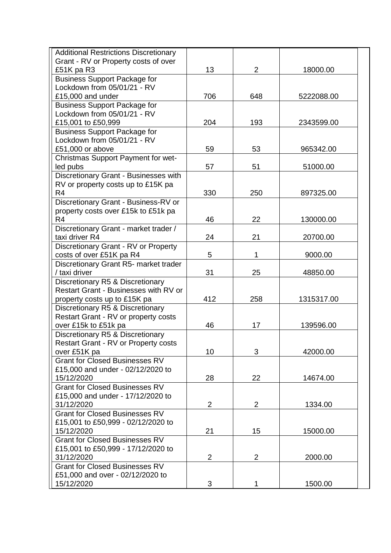| <b>Additional Restrictions Discretionary</b> |                |                |            |
|----------------------------------------------|----------------|----------------|------------|
| Grant - RV or Property costs of over         |                |                |            |
| £51K pa R3                                   | 13             | $\overline{2}$ | 18000.00   |
| <b>Business Support Package for</b>          |                |                |            |
| Lockdown from 05/01/21 - RV                  |                |                |            |
| £15,000 and under                            | 706            | 648            | 5222088.00 |
| <b>Business Support Package for</b>          |                |                |            |
| Lockdown from 05/01/21 - RV                  |                |                |            |
| £15,001 to £50,999                           | 204            | 193            | 2343599.00 |
| <b>Business Support Package for</b>          |                |                |            |
| Lockdown from 05/01/21 - RV                  |                |                |            |
| £51,000 or above                             | 59             | 53             | 965342.00  |
| Christmas Support Payment for wet-           |                |                |            |
| led pubs                                     | 57             | 51             | 51000.00   |
| Discretionary Grant - Businesses with        |                |                |            |
| RV or property costs up to £15K pa           |                |                |            |
| R <sub>4</sub>                               | 330            | 250            | 897325.00  |
| Discretionary Grant - Business-RV or         |                |                |            |
| property costs over £15k to £51k pa          |                |                |            |
| R <sub>4</sub>                               | 46             | 22             | 130000.00  |
| Discretionary Grant - market trader /        |                |                |            |
| taxi driver R4                               | 24             | 21             | 20700.00   |
| Discretionary Grant - RV or Property         |                |                |            |
| costs of over £51K pa R4                     | 5              | 1              | 9000.00    |
| Discretionary Grant R5- market trader        |                |                |            |
| / taxi driver                                | 31             | 25             | 48850.00   |
| Discretionary R5 & Discretionary             |                |                |            |
| <b>Restart Grant - Businesses with RV or</b> |                |                |            |
| property costs up to £15K pa                 | 412            | 258            | 1315317.00 |
| Discretionary R5 & Discretionary             |                |                |            |
| Restart Grant - RV or property costs         |                |                |            |
| over £15k to £51k pa                         | 46             | 17             | 139596.00  |
| Discretionary R5 & Discretionary             |                |                |            |
| Restart Grant - RV or Property costs         |                |                |            |
| over £51K pa                                 | 10             | 3              | 42000.00   |
| <b>Grant for Closed Businesses RV</b>        |                |                |            |
| £15,000 and under - 02/12/2020 to            |                |                |            |
| 15/12/2020                                   | 28             | 22             | 14674.00   |
| <b>Grant for Closed Businesses RV</b>        |                |                |            |
| £15,000 and under - 17/12/2020 to            |                |                |            |
| 31/12/2020                                   | $\overline{2}$ | $\overline{2}$ | 1334.00    |
| <b>Grant for Closed Businesses RV</b>        |                |                |            |
| £15,001 to £50,999 - 02/12/2020 to           |                |                |            |
| 15/12/2020                                   | 21             | 15             | 15000.00   |
| <b>Grant for Closed Businesses RV</b>        |                |                |            |
| £15,001 to £50,999 - 17/12/2020 to           |                |                |            |
| 31/12/2020                                   | $\overline{2}$ | $\overline{2}$ | 2000.00    |
| <b>Grant for Closed Businesses RV</b>        |                |                |            |
| £51,000 and over - 02/12/2020 to             |                |                |            |
| 15/12/2020                                   | 3              | 1              | 1500.00    |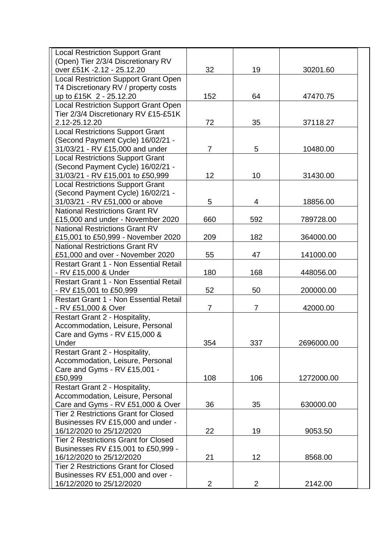| <b>Local Restriction Support Grant</b>                                |                |                |            |
|-----------------------------------------------------------------------|----------------|----------------|------------|
| (Open) Tier 2/3/4 Discretionary RV                                    |                |                |            |
| over £51K - 2.12 - 25.12.20                                           | 32             | 19             | 30201.60   |
| <b>Local Restriction Support Grant Open</b>                           |                |                |            |
| T4 Discretionary RV / property costs                                  |                |                |            |
| up to £15K 2 - 25.12.20                                               | 152            | 64             | 47470.75   |
| Local Restriction Support Grant Open                                  |                |                |            |
| Tier 2/3/4 Discretionary RV £15-£51K                                  |                |                |            |
| 2.12-25.12.20                                                         | 72             | 35             | 37118.27   |
| <b>Local Restrictions Support Grant</b>                               |                |                |            |
| (Second Payment Cycle) 16/02/21 -                                     | $\overline{7}$ | 5              |            |
| 31/03/21 - RV £15,000 and under                                       |                |                | 10480.00   |
| <b>Local Restrictions Support Grant</b>                               |                |                |            |
| (Second Payment Cycle) 16/02/21 -<br>31/03/21 - RV £15,001 to £50,999 | 12             | 10             | 31430.00   |
| <b>Local Restrictions Support Grant</b>                               |                |                |            |
| (Second Payment Cycle) 16/02/21 -                                     |                |                |            |
| 31/03/21 - RV £51,000 or above                                        | 5              | 4              | 18856.00   |
| <b>National Restrictions Grant RV</b>                                 |                |                |            |
| £15,000 and under - November 2020                                     | 660            | 592            | 789728.00  |
| <b>National Restrictions Grant RV</b>                                 |                |                |            |
| £15,001 to £50,999 - November 2020                                    | 209            | 182            | 364000.00  |
| <b>National Restrictions Grant RV</b>                                 |                |                |            |
| £51,000 and over - November 2020                                      | 55             | 47             | 141000.00  |
| Restart Grant 1 - Non Essential Retail                                |                |                |            |
| - RV £15,000 & Under                                                  | 180            | 168            | 448056.00  |
| <b>Restart Grant 1 - Non Essential Retail</b>                         |                |                |            |
| - RV £15,001 to £50,999                                               | 52             | 50             | 200000.00  |
| <b>Restart Grant 1 - Non Essential Retail</b>                         |                |                |            |
| - RV £51,000 & Over                                                   | 7              | 7              | 42000.00   |
| Restart Grant 2 - Hospitality,                                        |                |                |            |
| Accommodation, Leisure, Personal                                      |                |                |            |
| Care and Gyms - RV £15,000 &                                          |                |                |            |
| Under                                                                 | 354            | 337            | 2696000.00 |
| Restart Grant 2 - Hospitality,                                        |                |                |            |
| Accommodation, Leisure, Personal                                      |                |                |            |
| Care and Gyms - RV £15,001 -                                          |                |                |            |
| £50,999                                                               | 108            | 106            | 1272000.00 |
| Restart Grant 2 - Hospitality,                                        |                |                |            |
| Accommodation, Leisure, Personal                                      |                |                |            |
| Care and Gyms - RV £51,000 & Over                                     | 36             | 35             | 630000.00  |
| <b>Tier 2 Restrictions Grant for Closed</b>                           |                |                |            |
| Businesses RV £15,000 and under -                                     |                |                |            |
| 16/12/2020 to 25/12/2020                                              | 22             | 19             | 9053.50    |
| <b>Tier 2 Restrictions Grant for Closed</b>                           |                |                |            |
| Businesses RV £15,001 to £50,999 -                                    |                |                |            |
| 16/12/2020 to 25/12/2020                                              | 21             | 12             | 8568.00    |
| <b>Tier 2 Restrictions Grant for Closed</b>                           |                |                |            |
| Businesses RV £51,000 and over -                                      |                |                |            |
| 16/12/2020 to 25/12/2020                                              | 2              | $\overline{2}$ | 2142.00    |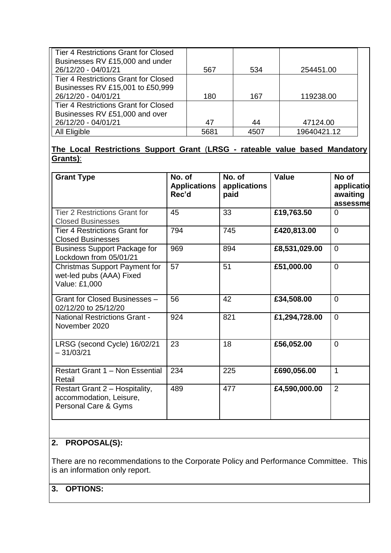| Tier 4 Restrictions Grant for Closed        |      |      |             |
|---------------------------------------------|------|------|-------------|
| Businesses RV £15,000 and under             |      |      |             |
| 26/12/20 - 04/01/21                         | 567  | 534  | 254451.00   |
| <b>Tier 4 Restrictions Grant for Closed</b> |      |      |             |
| Businesses RV £15,001 to £50,999            |      |      |             |
| 26/12/20 - 04/01/21                         | 180  | 167  | 119238.00   |
| <b>Tier 4 Restrictions Grant for Closed</b> |      |      |             |
| Businesses RV £51,000 and over              |      |      |             |
| 26/12/20 - 04/01/21                         | 47   | 44   | 47124.00    |
| All Eligible                                | 5681 | 4507 | 19640421.12 |

# **The Local Restrictions Support Grant** (**LRSG - rateable value based Mandatory Grants)**:

| <b>Grant Type</b>                                                                 | No. of<br><b>Applications</b><br>Rec'd | No. of<br>applications<br>paid | Value         | No of<br>applicatio<br>awaiting<br>assessme |
|-----------------------------------------------------------------------------------|----------------------------------------|--------------------------------|---------------|---------------------------------------------|
| <b>Tier 2 Restrictions Grant for</b><br><b>Closed Businesses</b>                  | 45                                     | 33                             | £19,763.50    | $\Omega$                                    |
| <b>Tier 4 Restrictions Grant for</b><br><b>Closed Businesses</b>                  | 794                                    | 745                            | £420,813.00   | $\Omega$                                    |
| <b>Business Support Package for</b><br>Lockdown from 05/01/21                     | 969                                    | 894                            | £8,531,029.00 | $\Omega$                                    |
| <b>Christmas Support Payment for</b><br>wet-led pubs (AAA) Fixed<br>Value: £1,000 | 57                                     | 51                             | £51,000.00    | $\Omega$                                    |
| Grant for Closed Businesses -<br>02/12/20 to 25/12/20                             | 56                                     | 42                             | £34,508.00    | $\Omega$                                    |
| <b>National Restrictions Grant -</b><br>November 2020                             | 924                                    | 821                            | £1,294,728.00 | $\Omega$                                    |
| LRSG (second Cycle) 16/02/21<br>$-31/03/21$                                       | 23                                     | 18                             | £56,052.00    | $\Omega$                                    |
| <b>Restart Grant 1 - Non Essential</b><br>Retail                                  | 234                                    | 225                            | £690,056.00   | 1                                           |
| Restart Grant 2 - Hospitality,<br>accommodation, Leisure,<br>Personal Care & Gyms | 489                                    | 477                            | £4,590,000.00 | $\overline{2}$                              |

# **2. PROPOSAL(S):**

There are no recommendations to the Corporate Policy and Performance Committee. This is an information only report.

# **3. OPTIONS:**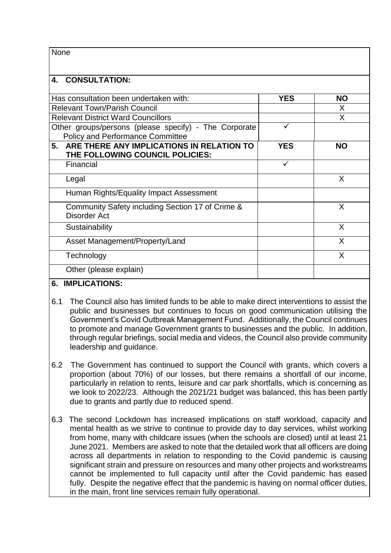| None                                                                                             |              |           |
|--------------------------------------------------------------------------------------------------|--------------|-----------|
| <b>CONSULTATION:</b><br>4.                                                                       |              |           |
| Has consultation been undertaken with:                                                           | <b>YES</b>   | <b>NO</b> |
| <b>Relevant Town/Parish Council</b>                                                              |              | X         |
| <b>Relevant District Ward Councillors</b>                                                        |              | X         |
| Other groups/persons (please specify) - The Corporate<br><b>Policy and Performance Committee</b> | ✓            |           |
| ARE THERE ANY IMPLICATIONS IN RELATION TO<br>5.<br>THE FOLLOWING COUNCIL POLICIES:               | <b>YES</b>   | <b>NO</b> |
| Financial                                                                                        | $\checkmark$ |           |
| Legal                                                                                            |              | X         |
| Human Rights/Equality Impact Assessment                                                          |              |           |
| Community Safety including Section 17 of Crime &<br><b>Disorder Act</b>                          |              | X         |
| Sustainability                                                                                   |              | X         |
| Asset Management/Property/Land                                                                   |              | X         |
| Technology                                                                                       |              | X         |
| Other (please explain)                                                                           |              |           |

## **6. IMPLICATIONS:**

- 6.1 The Council also has limited funds to be able to make direct interventions to assist the public and businesses but continues to focus on good communication utilising the Government's Covid Outbreak Management Fund. Additionally, the Council continues to promote and manage Government grants to businesses and the public. In addition, through regular briefings, social media and videos, the Council also provide community leadership and guidance.
- 6.2 The Government has continued to support the Council with grants, which covers a proportion (about 70%) of our losses, but there remains a shortfall of our income, particularly in relation to rents, leisure and car park shortfalls, which is concerning as we look to 2022/23. Although the 2021/21 budget was balanced, this has been partly due to grants and partly due to reduced spend.
- 6.3 The second Lockdown has increased implications on staff workload, capacity and mental health as we strive to continue to provide day to day services, whilst working from home, many with childcare issues (when the schools are closed) until at least 21 June 2021. Members are asked to note that the detailed work that all officers are doing across all departments in relation to responding to the Covid pandemic is causing significant strain and pressure on resources and many other projects and workstreams cannot be implemented to full capacity until after the Covid pandemic has eased fully. Despite the negative effect that the pandemic is having on normal officer duties, in the main, front line services remain fully operational.